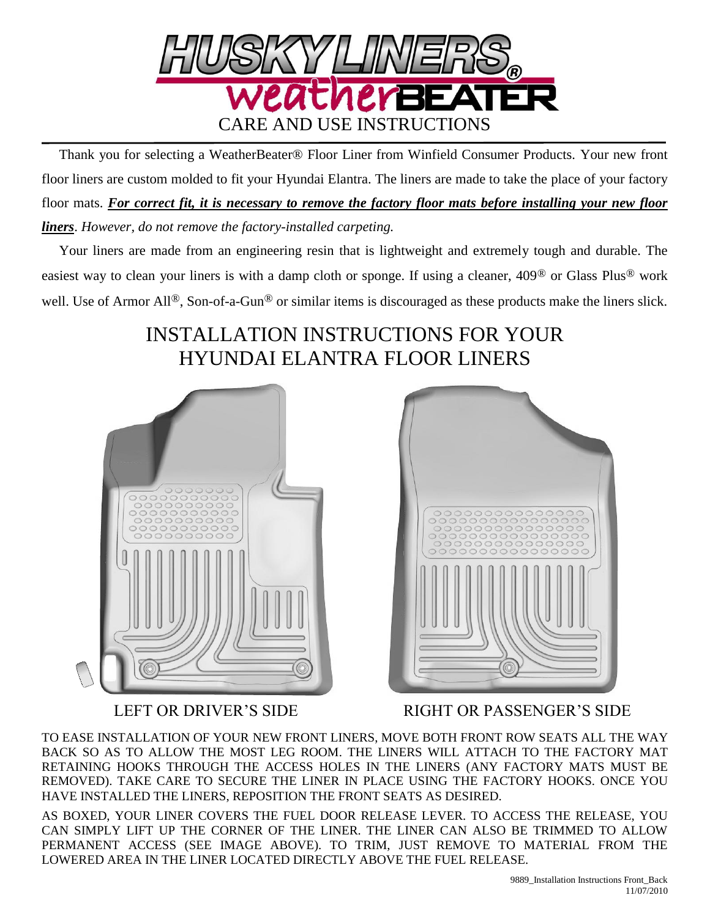

 Thank you for selecting a WeatherBeater® Floor Liner from Winfield Consumer Products. Your new front floor liners are custom molded to fit your Hyundai Elantra. The liners are made to take the place of your factory floor mats. *For correct fit, it is necessary to remove the factory floor mats before installing your new floor liners*. *However, do not remove the factory-installed carpeting.*

 Your liners are made from an engineering resin that is lightweight and extremely tough and durable. The easiest way to clean your liners is with a damp cloth or sponge. If using a cleaner, 409® or Glass Plus® work well. Use of Armor All<sup>®</sup>, Son-of-a-Gun<sup>®</sup> or similar items is discouraged as these products make the liners slick.

## INSTALLATION INSTRUCTIONS FOR YOUR HYUNDAI ELANTRA FLOOR LINERS





LEFT OR DRIVER'S SIDE RIGHT OR PASSENGER'S SIDE

TO EASE INSTALLATION OF YOUR NEW FRONT LINERS, MOVE BOTH FRONT ROW SEATS ALL THE WAY BACK SO AS TO ALLOW THE MOST LEG ROOM. THE LINERS WILL ATTACH TO THE FACTORY MAT RETAINING HOOKS THROUGH THE ACCESS HOLES IN THE LINERS (ANY FACTORY MATS MUST BE REMOVED). TAKE CARE TO SECURE THE LINER IN PLACE USING THE FACTORY HOOKS. ONCE YOU HAVE INSTALLED THE LINERS, REPOSITION THE FRONT SEATS AS DESIRED.

AS BOXED, YOUR LINER COVERS THE FUEL DOOR RELEASE LEVER. TO ACCESS THE RELEASE, YOU CAN SIMPLY LIFT UP THE CORNER OF THE LINER. THE LINER CAN ALSO BE TRIMMED TO ALLOW PERMANENT ACCESS (SEE IMAGE ABOVE). TO TRIM, JUST REMOVE TO MATERIAL FROM THE LOWERED AREA IN THE LINER LOCATED DIRECTLY ABOVE THE FUEL RELEASE.